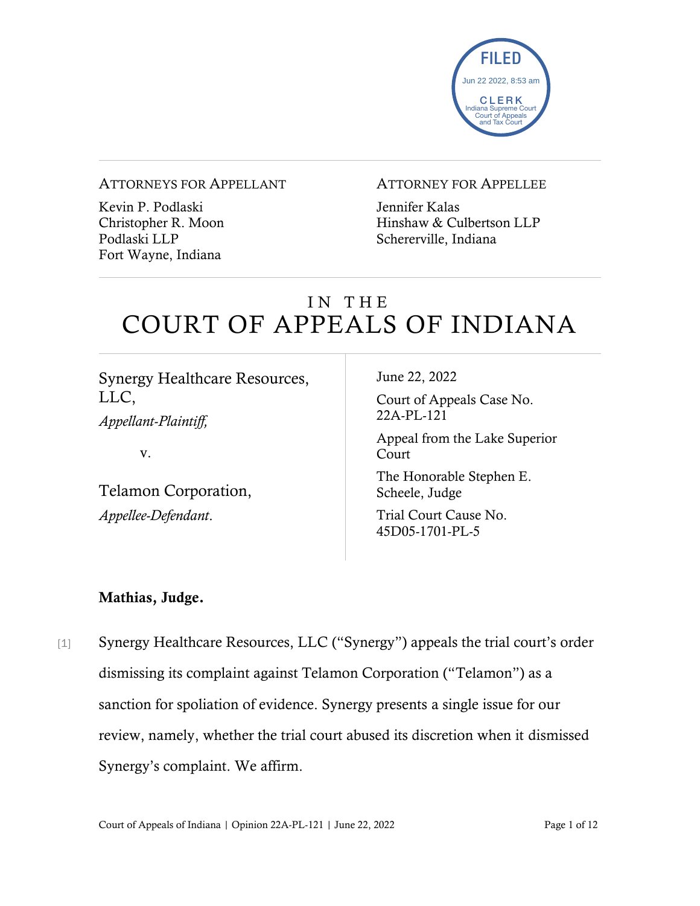

#### ATTORNEYS FOR APPELLANT

Kevin P. Podlaski Christopher R. Moon Podlaski LLP Fort Wayne, Indiana

#### ATTORNEY FOR APPELLEE

Jennifer Kalas Hinshaw & Culbertson LLP Schererville, Indiana

# IN THE COURT OF APPEALS OF INDIANA

Synergy Healthcare Resources, LLC,

*Appellant-Plaintiff,*

v.

Telamon Corporation, *Appellee-Defendant*.

June 22, 2022

Court of Appeals Case No. 22A-PL-121

Appeal from the Lake Superior Court

The Honorable Stephen E. Scheele, Judge

Trial Court Cause No. 45D05-1701-PL-5

### Mathias, Judge.

[1] Synergy Healthcare Resources, LLC ("Synergy") appeals the trial court's order dismissing its complaint against Telamon Corporation ("Telamon") as a sanction for spoliation of evidence. Synergy presents a single issue for our review, namely, whether the trial court abused its discretion when it dismissed Synergy's complaint. We affirm.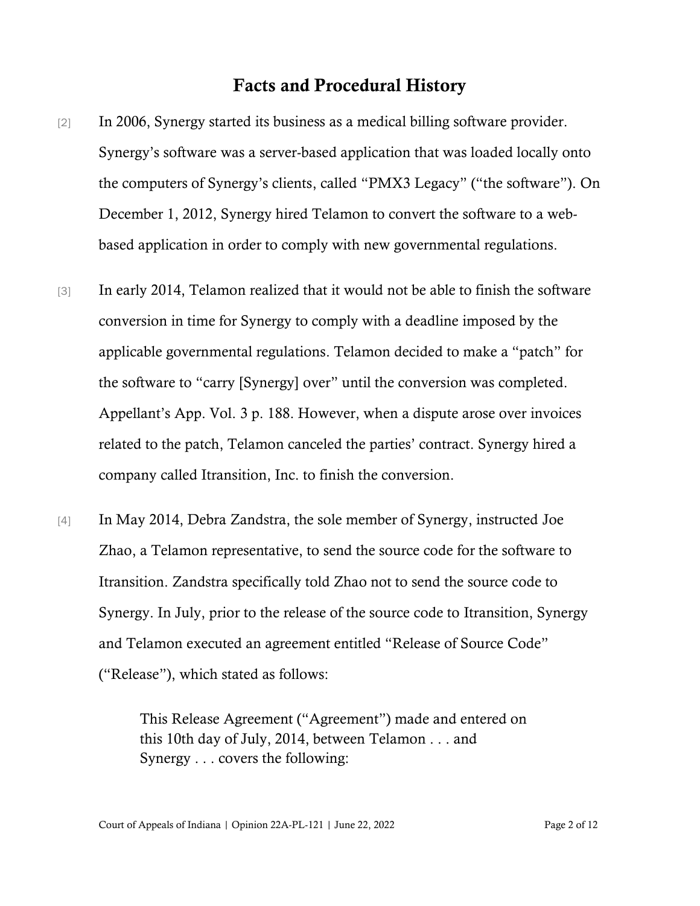## Facts and Procedural History

- [2] In 2006, Synergy started its business as a medical billing software provider. Synergy's software was a server-based application that was loaded locally onto the computers of Synergy's clients, called "PMX3 Legacy" ("the software"). On December 1, 2012, Synergy hired Telamon to convert the software to a webbased application in order to comply with new governmental regulations.
- [3] In early 2014, Telamon realized that it would not be able to finish the software conversion in time for Synergy to comply with a deadline imposed by the applicable governmental regulations. Telamon decided to make a "patch" for the software to "carry [Synergy] over" until the conversion was completed. Appellant's App. Vol. 3 p. 188. However, when a dispute arose over invoices related to the patch, Telamon canceled the parties' contract. Synergy hired a company called Itransition, Inc. to finish the conversion.
- [4] In May 2014, Debra Zandstra, the sole member of Synergy, instructed Joe Zhao, a Telamon representative, to send the source code for the software to Itransition. Zandstra specifically told Zhao not to send the source code to Synergy. In July, prior to the release of the source code to Itransition, Synergy and Telamon executed an agreement entitled "Release of Source Code" ("Release"), which stated as follows:

This Release Agreement ("Agreement") made and entered on this 10th day of July, 2014, between Telamon . . . and Synergy . . . covers the following: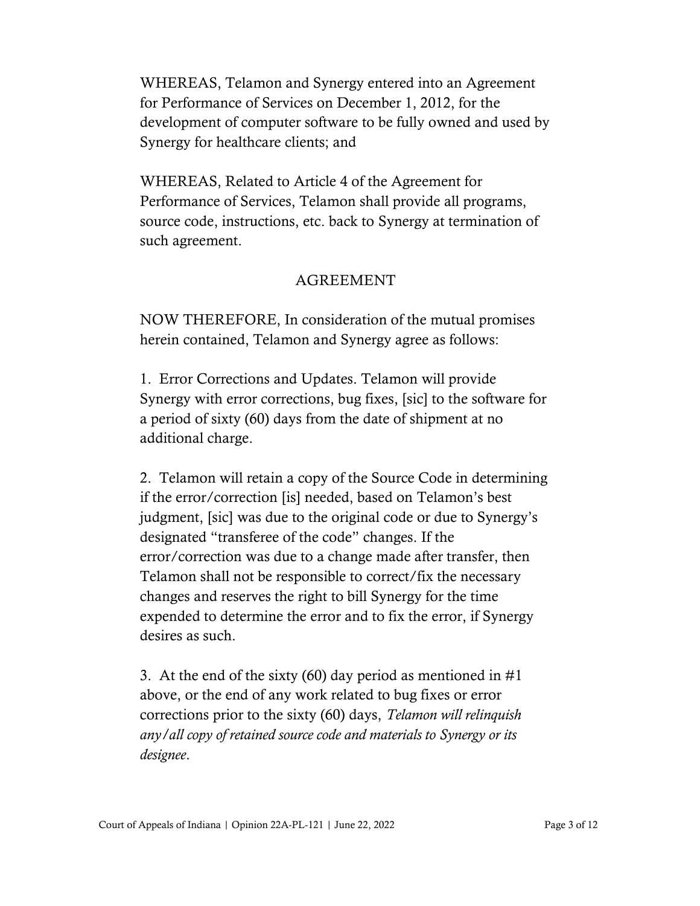WHEREAS, Telamon and Synergy entered into an Agreement for Performance of Services on December 1, 2012, for the development of computer software to be fully owned and used by Synergy for healthcare clients; and

WHEREAS, Related to Article 4 of the Agreement for Performance of Services, Telamon shall provide all programs, source code, instructions, etc. back to Synergy at termination of such agreement.

#### AGREEMENT

NOW THEREFORE, In consideration of the mutual promises herein contained, Telamon and Synergy agree as follows:

1. Error Corrections and Updates. Telamon will provide Synergy with error corrections, bug fixes, [sic] to the software for a period of sixty (60) days from the date of shipment at no additional charge.

2. Telamon will retain a copy of the Source Code in determining if the error/correction [is] needed, based on Telamon's best judgment, [sic] was due to the original code or due to Synergy's designated "transferee of the code" changes. If the error/correction was due to a change made after transfer, then Telamon shall not be responsible to correct/fix the necessary changes and reserves the right to bill Synergy for the time expended to determine the error and to fix the error, if Synergy desires as such.

3. At the end of the sixty (60) day period as mentioned in  $#1$ above, or the end of any work related to bug fixes or error corrections prior to the sixty (60) days, *Telamon will relinquish any/all copy of retained source code and materials to Synergy or its designee*.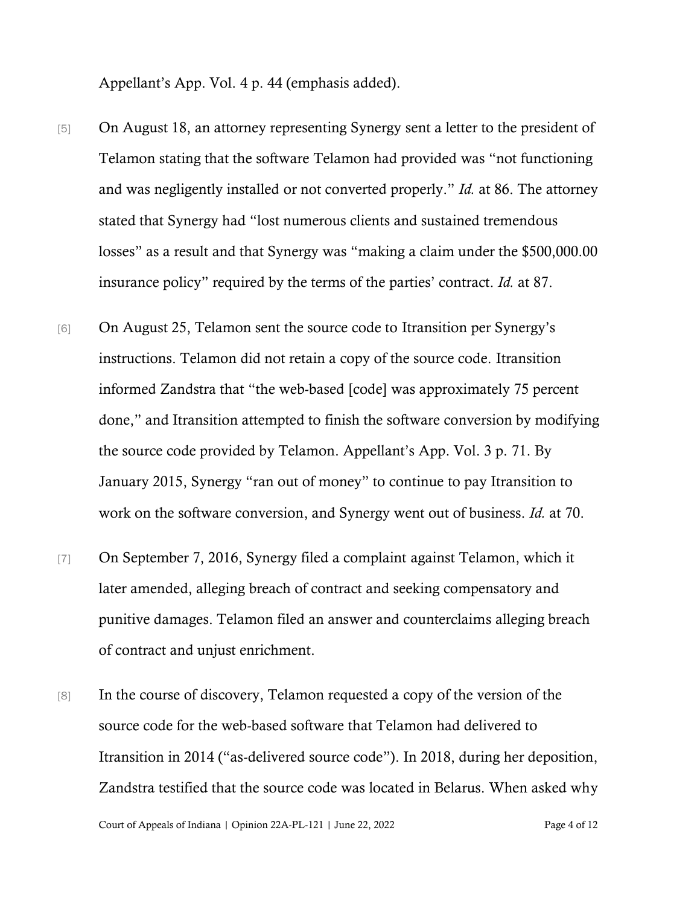Appellant's App. Vol. 4 p. 44 (emphasis added).

- [5] On August 18, an attorney representing Synergy sent a letter to the president of Telamon stating that the software Telamon had provided was "not functioning and was negligently installed or not converted properly." *Id.* at 86. The attorney stated that Synergy had "lost numerous clients and sustained tremendous losses" as a result and that Synergy was "making a claim under the \$500,000.00 insurance policy" required by the terms of the parties' contract. *Id.* at 87.
- [6] On August 25, Telamon sent the source code to Itransition per Synergy's instructions. Telamon did not retain a copy of the source code. Itransition informed Zandstra that "the web-based [code] was approximately 75 percent done," and Itransition attempted to finish the software conversion by modifying the source code provided by Telamon. Appellant's App. Vol. 3 p. 71. By January 2015, Synergy "ran out of money" to continue to pay Itransition to work on the software conversion, and Synergy went out of business. *Id.* at 70.
- [7] On September 7, 2016, Synergy filed a complaint against Telamon, which it later amended, alleging breach of contract and seeking compensatory and punitive damages. Telamon filed an answer and counterclaims alleging breach of contract and unjust enrichment.
- [8] In the course of discovery, Telamon requested a copy of the version of the source code for the web-based software that Telamon had delivered to Itransition in 2014 ("as-delivered source code"). In 2018, during her deposition, Zandstra testified that the source code was located in Belarus. When asked why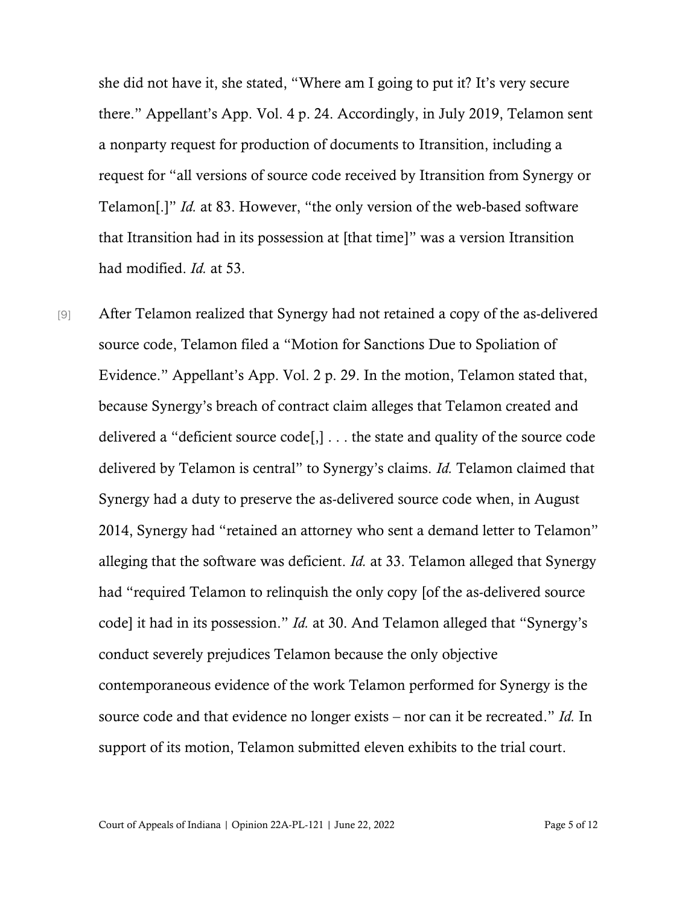she did not have it, she stated, "Where am I going to put it? It's very secure there." Appellant's App. Vol. 4 p. 24. Accordingly, in July 2019, Telamon sent a nonparty request for production of documents to Itransition, including a request for "all versions of source code received by Itransition from Synergy or Telamon[.]" *Id.* at 83. However, "the only version of the web-based software that Itransition had in its possession at [that time]" was a version Itransition had modified. *Id.* at 53.

[9] After Telamon realized that Synergy had not retained a copy of the as-delivered source code, Telamon filed a "Motion for Sanctions Due to Spoliation of Evidence." Appellant's App. Vol. 2 p. 29. In the motion, Telamon stated that, because Synergy's breach of contract claim alleges that Telamon created and delivered a "deficient source code[,] . . . the state and quality of the source code delivered by Telamon is central" to Synergy's claims. *Id.* Telamon claimed that Synergy had a duty to preserve the as-delivered source code when, in August 2014, Synergy had "retained an attorney who sent a demand letter to Telamon" alleging that the software was deficient. *Id.* at 33. Telamon alleged that Synergy had "required Telamon to relinquish the only copy [of the as-delivered source code] it had in its possession." *Id.* at 30. And Telamon alleged that "Synergy's conduct severely prejudices Telamon because the only objective contemporaneous evidence of the work Telamon performed for Synergy is the source code and that evidence no longer exists – nor can it be recreated." *Id.* In support of its motion, Telamon submitted eleven exhibits to the trial court.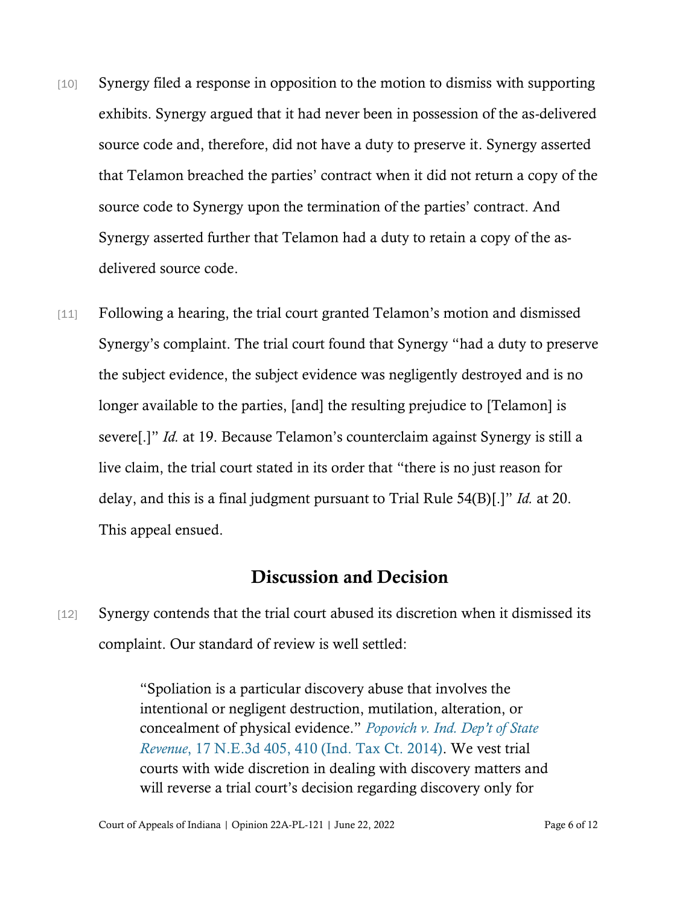- [10] Synergy filed a response in opposition to the motion to dismiss with supporting exhibits. Synergy argued that it had never been in possession of the as-delivered source code and, therefore, did not have a duty to preserve it. Synergy asserted that Telamon breached the parties' contract when it did not return a copy of the source code to Synergy upon the termination of the parties' contract. And Synergy asserted further that Telamon had a duty to retain a copy of the asdelivered source code.
- [11] Following a hearing, the trial court granted Telamon's motion and dismissed Synergy's complaint. The trial court found that Synergy "had a duty to preserve the subject evidence, the subject evidence was negligently destroyed and is no longer available to the parties, [and] the resulting prejudice to [Telamon] is severe[.]" *Id.* at 19. Because Telamon's counterclaim against Synergy is still a live claim, the trial court stated in its order that "there is no just reason for delay, and this is a final judgment pursuant to Trial Rule 54(B)[.]" *Id.* at 20. This appeal ensued.

## Discussion and Decision

[12] Synergy contends that the trial court abused its discretion when it dismissed its complaint. Our standard of review is well settled:

> "Spoliation is a particular discovery abuse that involves the intentional or negligent destruction, mutilation, alteration, or concealment of physical evidence." *[Popovich v. Ind. Dep](https://www.westlaw.com/Document/If176d804402611e490d4edf60ce7d742/View/FullText.html?transitionType=Default&contextData=(sc.Default)&VR=3.0&RS=da3.0&fragmentIdentifier=co_pp_sp_7902_410)'t of State [Revenue](https://www.westlaw.com/Document/If176d804402611e490d4edf60ce7d742/View/FullText.html?transitionType=Default&contextData=(sc.Default)&VR=3.0&RS=da3.0&fragmentIdentifier=co_pp_sp_7902_410)*[, 17 N.E.3d 405, 410 \(Ind. Tax Ct. 2014\).](https://www.westlaw.com/Document/If176d804402611e490d4edf60ce7d742/View/FullText.html?transitionType=Default&contextData=(sc.Default)&VR=3.0&RS=da3.0&fragmentIdentifier=co_pp_sp_7902_410) We vest trial courts with wide discretion in dealing with discovery matters and will reverse a trial court's decision regarding discovery only for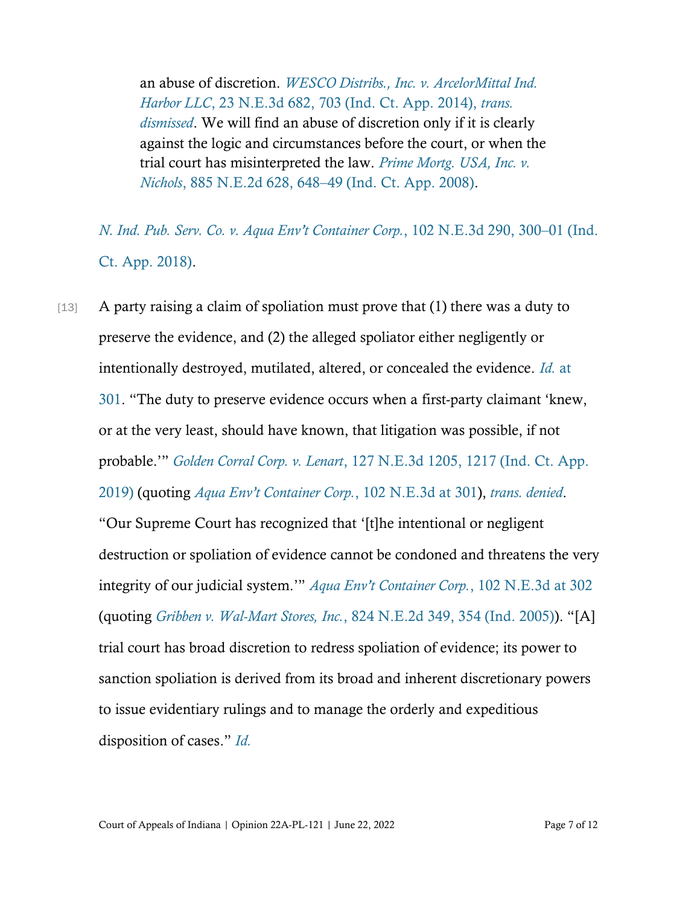an abuse of discretion. *[WESCO Distribs., Inc. v. ArcelorMittal Ind.](https://www.westlaw.com/Document/Ia81dbec269c611e49488c8f438320c70/View/FullText.html?transitionType=Default&contextData=(sc.Default)&VR=3.0&RS=cblt1.0)  Harbor LLC*[, 23 N.E.3d 682, 703 \(Ind. Ct. App. 2014\),](https://www.westlaw.com/Document/Ia81dbec269c611e49488c8f438320c70/View/FullText.html?transitionType=Default&contextData=(sc.Default)&VR=3.0&RS=cblt1.0) *trans. [dismissed](https://www.westlaw.com/Document/Ia81dbec269c611e49488c8f438320c70/View/FullText.html?transitionType=Default&contextData=(sc.Default)&VR=3.0&RS=cblt1.0)*. We will find an abuse of discretion only if it is clearly against the logic and circumstances before the court, or when the trial court has misinterpreted the law. *[Prime Mortg. USA, Inc. v.](https://www.westlaw.com/Document/Ia3162830115a11ddb7e483ba170699a5/View/FullText.html?transitionType=Default&contextData=(sc.Default)&VR=3.0&RS=da3.0&fragmentIdentifier=co_pp_sp_578_648)  Nichols*[, 885 N.E.2d 628, 648](https://www.westlaw.com/Document/Ia3162830115a11ddb7e483ba170699a5/View/FullText.html?transitionType=Default&contextData=(sc.Default)&VR=3.0&RS=da3.0&fragmentIdentifier=co_pp_sp_578_648)–[49 \(Ind. Ct. App. 2008\).](https://www.westlaw.com/Document/Ia3162830115a11ddb7e483ba170699a5/View/FullText.html?transitionType=Default&contextData=(sc.Default)&VR=3.0&RS=da3.0&fragmentIdentifier=co_pp_sp_578_648)

*[N. Ind. Pub. Serv. Co. v. Aqua Env](https://www.westlaw.com/Document/I807e46e0522f11e88808c81b5a222cba/View/FullText.html?transitionType=Default&contextData=(sc.Default)&VR=3.0&RS=da3.0&fragmentIdentifier=co_pp_sp_7902_300)'t Container Corp.*, 102 N.E.3d 290, 300–[01 \(Ind.](https://www.westlaw.com/Document/I807e46e0522f11e88808c81b5a222cba/View/FullText.html?transitionType=Default&contextData=(sc.Default)&VR=3.0&RS=da3.0&fragmentIdentifier=co_pp_sp_7902_300)  [Ct. App. 2018\).](https://www.westlaw.com/Document/I807e46e0522f11e88808c81b5a222cba/View/FullText.html?transitionType=Default&contextData=(sc.Default)&VR=3.0&RS=da3.0&fragmentIdentifier=co_pp_sp_7902_300)

[13] A party raising a claim of spoliation must prove that (1) there was a duty to preserve the evidence, and (2) the alleged spoliator either negligently or intentionally destroyed, mutilated, altered, or concealed the evidence. *[Id.](https://www.westlaw.com/Document/I807e46e0522f11e88808c81b5a222cba/View/FullText.html?transitionType=Default&contextData=(sc.Default)&VR=3.0&RS=da3.0&fragmentIdentifier=co_pp_sp_7902_301)* [at](https://www.westlaw.com/Document/I807e46e0522f11e88808c81b5a222cba/View/FullText.html?transitionType=Default&contextData=(sc.Default)&VR=3.0&RS=da3.0&fragmentIdentifier=co_pp_sp_7902_301)  [301.](https://www.westlaw.com/Document/I807e46e0522f11e88808c81b5a222cba/View/FullText.html?transitionType=Default&contextData=(sc.Default)&VR=3.0&RS=da3.0&fragmentIdentifier=co_pp_sp_7902_301) "The duty to preserve evidence occurs when a first-party claimant 'knew, or at the very least, should have known, that litigation was possible, if not probable.'" *Golden Corral Corp. v. Lenart*[, 127 N.E.3d 1205, 1217 \(Ind. Ct. App.](https://www.westlaw.com/Document/I4cc9e00092c211e998e8870e22e55653/View/FullText.html?transitionType=Default&contextData=(sc.Default)&VR=3.0&RS=da3.0&fragmentIdentifier=co_pp_sp_7902_1217)  [2019\)](https://www.westlaw.com/Document/I4cc9e00092c211e998e8870e22e55653/View/FullText.html?transitionType=Default&contextData=(sc.Default)&VR=3.0&RS=da3.0&fragmentIdentifier=co_pp_sp_7902_1217) (quoting *[Aqua Env't Container Corp.](https://www.westlaw.com/Document/I807e46e0522f11e88808c81b5a222cba/View/FullText.html?transitionType=Default&contextData=(sc.Default)&VR=3.0&RS=da3.0&fragmentIdentifier=co_pp_sp_7902_301)*, 102 N.E.3d at [301\)](https://www.westlaw.com/Document/I807e46e0522f11e88808c81b5a222cba/View/FullText.html?transitionType=Default&contextData=(sc.Default)&VR=3.0&RS=da3.0&fragmentIdentifier=co_pp_sp_7902_301), *[trans. denied](https://www.westlaw.com/Document/I4cc9e00092c211e998e8870e22e55653/View/FullText.html?transitionType=Default&contextData=(sc.Default)&VR=3.0&RS=cblt1.0)*. "Our Supreme Court has recognized that '[t]he intentional or negligent destruction or spoliation of evidence cannot be condoned and threatens the very integrity of our judicial system.'" *Aqua Env['t Container Corp.](https://www.westlaw.com/Document/I807e46e0522f11e88808c81b5a222cba/View/FullText.html?transitionType=Default&contextData=(sc.Default)&VR=3.0&RS=da3.0&fragmentIdentifier=co_pp_sp_7902_302)*, 102 N.E.3d [at 302](https://www.westlaw.com/Document/I807e46e0522f11e88808c81b5a222cba/View/FullText.html?transitionType=Default&contextData=(sc.Default)&VR=3.0&RS=da3.0&fragmentIdentifier=co_pp_sp_7902_302) (quoting *[Gribben v. Wal-Mart Stores, Inc.](https://www.westlaw.com/Document/Ib65dbfdfd45b11d99439b076ef9ec4de/View/FullText.html?transitionType=Default&contextData=(sc.Default)&VR=3.0&RS=da3.0&fragmentIdentifier=co_pp_sp_578_354)*[, 824 N.E.2d 349, 354 \(Ind. 2005\)\)](https://www.westlaw.com/Document/Ib65dbfdfd45b11d99439b076ef9ec4de/View/FullText.html?transitionType=Default&contextData=(sc.Default)&VR=3.0&RS=da3.0&fragmentIdentifier=co_pp_sp_578_354). "[A] trial court has broad discretion to redress spoliation of evidence; its power to sanction spoliation is derived from its broad and inherent discretionary powers to issue evidentiary rulings and to manage the orderly and expeditious disposition of cases." *[Id.](https://www.westlaw.com/Document/I807e46e0522f11e88808c81b5a222cba/View/FullText.html?transitionType=Default&contextData=(sc.Default)&VR=3.0&RS=da3.0)*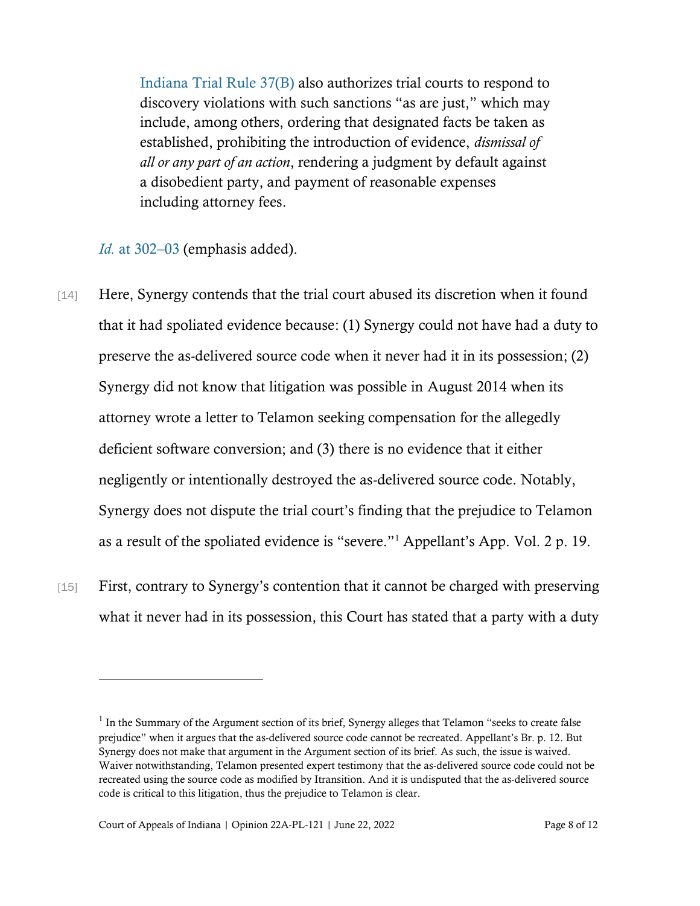[Indiana Trial Rule 37\(B\)](https://www.westlaw.com/Document/N902E609071B511DC973ED4B49D12FDE5/View/FullText.html?transitionType=Default&contextData=(sc.Default)&VR=3.0&RS=da3.0) also authorizes trial courts to respond to discovery violations with such sanctions "as are just," which may include, among others, ordering that designated facts be taken as established, prohibiting the introduction of evidence, *dismissal of all or any part of an action*, rendering a judgment by default against a disobedient party, and payment of reasonable expenses including attorney fees.

*Id.* [at 302](https://www.westlaw.com/Document/I807e46e0522f11e88808c81b5a222cba/View/FullText.html?transitionType=Default&contextData=(sc.Default)&VR=3.0&RS=da3.0&fragmentIdentifier=co_pp_sp_7902_302)–[03](https://www.westlaw.com/Document/I807e46e0522f11e88808c81b5a222cba/View/FullText.html?transitionType=Default&contextData=(sc.Default)&VR=3.0&RS=da3.0&fragmentIdentifier=co_pp_sp_7902_302) (emphasis added).

- [14] Here, Synergy contends that the trial court abused its discretion when it found that it had spoliated evidence because: (1) Synergy could not have had a duty to preserve the as-delivered source code when it never had it in its possession; (2) Synergy did not know that litigation was possible in August 2014 when its attorney wrote a letter to Telamon seeking compensation for the allegedly deficient software conversion; and (3) there is no evidence that it either negligently or intentionally destroyed the as-delivered source code. Notably, Synergy does not dispute the trial court's finding that the prejudice to Telamon as a result of the spoliated evidence is "severe."<sup>1</sup> Appellant's App. Vol. 2 p. 19.
- [15] First, contrary to Synergy's contention that it cannot be charged with preserving what it never had in its possession, this Court has stated that a party with a duty

 $<sup>1</sup>$  In the Summary of the Argument section of its brief, Synergy alleges that Telamon "seeks to create false</sup> prejudice" when it argues that the as-delivered source code cannot be recreated. Appellant's Br. p. 12. But Synergy does not make that argument in the Argument section of its brief. As such, the issue is waived. Waiver notwithstanding, Telamon presented expert testimony that the as-delivered source code could not be recreated using the source code as modified by Itransition. And it is undisputed that the as-delivered source code is critical to this litigation, thus the prejudice to Telamon is clear.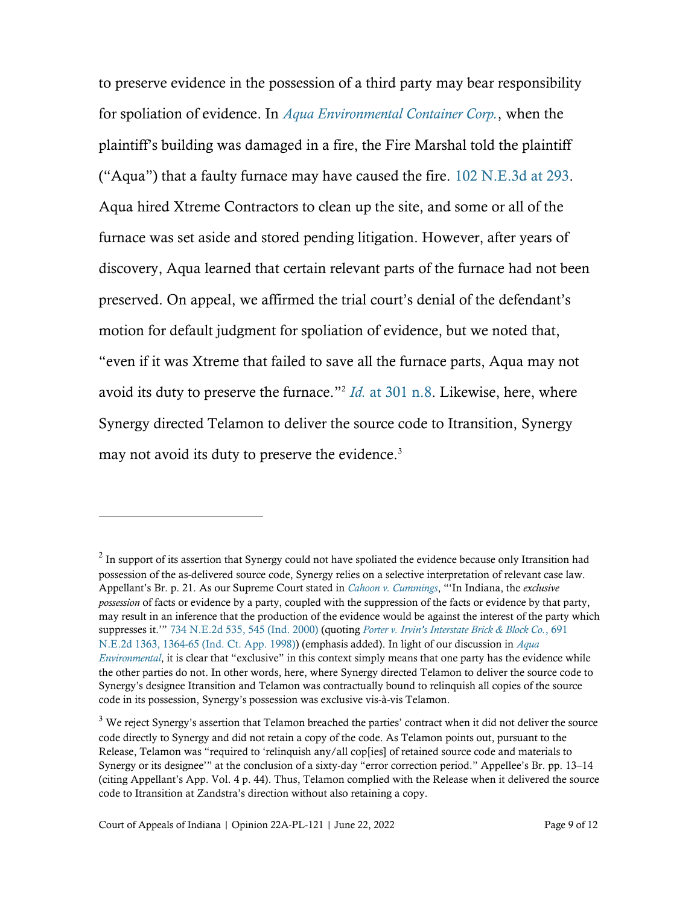to preserve evidence in the possession of a third party may bear responsibility for spoliation of evidence. In *[Aqua Environmental Container Corp.](https://www.westlaw.com/Document/I807e46e0522f11e88808c81b5a222cba/View/FullText.html?transitionType=Default&contextData=(sc.Default)&VR=3.0&RS=da3.0)*, when the plaintiff's building was damaged in a fire, the Fire Marshal told the plaintiff ("Aqua") that a faulty furnace may have caused the fire.  $102$  N.E.3d at 293. Aqua hired Xtreme Contractors to clean up the site, and some or all of the furnace was set aside and stored pending litigation. However, after years of discovery, Aqua learned that certain relevant parts of the furnace had not been preserved. On appeal, we affirmed the trial court's denial of the defendant's motion for default judgment for spoliation of evidence, but we noted that, "even if it was Xtreme that failed to save all the furnace parts, Aqua may not avoid its duty to preserve the furnace." 2 *[Id.](https://www.westlaw.com/Document/I807e46e0522f11e88808c81b5a222cba/View/FullText.html?transitionType=Default&contextData=(sc.Default)&VR=3.0&RS=da3.0&fragmentIdentifier=co_pp_sp_7902_301)* [at 301 n.8.](https://www.westlaw.com/Document/I807e46e0522f11e88808c81b5a222cba/View/FullText.html?transitionType=Default&contextData=(sc.Default)&VR=3.0&RS=da3.0&fragmentIdentifier=co_pp_sp_7902_301) Likewise, here, where Synergy directed Telamon to deliver the source code to Itransition, Synergy may not avoid its duty to preserve the evidence.<sup>3</sup>

 $2$  In support of its assertion that Synergy could not have spoliated the evidence because only Itransition had possession of the as-delivered source code, Synergy relies on a selective interpretation of relevant case law. Appellant's Br. p. 21. As our Supreme Court stated in *[Cahoon v. Cummings](https://www.westlaw.com/Document/I42d39c26d3a111d99439b076ef9ec4de/View/FullText.html?transitionType=Default&contextData=(sc.Default)&VR=3.0&RS=cblt1.0)*, "'In Indiana, the *exclusive possession* of facts or evidence by a party, coupled with the suppression of the facts or evidence by that party, may result in an inference that the production of the evidence would be against the interest of the party which suppresses it.'" [734 N.E.2d 535, 545 \(Ind. 2000\)](https://www.westlaw.com/Document/I42d39c26d3a111d99439b076ef9ec4de/View/FullText.html?transitionType=Default&contextData=(sc.Default)&VR=3.0&RS=cblt1.0) (quoting *[Porter v. Irvin's Interstate Brick & Block Co.](https://www.westlaw.com/Document/Ie4e66e56d3ad11d98ac8f235252e36df/View/FullText.html?transitionType=Default&contextData=(sc.Default)&VR=3.0&RS=da3.0&fragmentIdentifier=co_pp_sp_578_1364)*, [691](https://www.westlaw.com/Document/Ie4e66e56d3ad11d98ac8f235252e36df/View/FullText.html?transitionType=Default&contextData=(sc.Default)&VR=3.0&RS=da3.0&fragmentIdentifier=co_pp_sp_578_1364)  [N.E.2d 1363, 1364-65 \(Ind. Ct. App. 1998\)\)](https://www.westlaw.com/Document/Ie4e66e56d3ad11d98ac8f235252e36df/View/FullText.html?transitionType=Default&contextData=(sc.Default)&VR=3.0&RS=da3.0&fragmentIdentifier=co_pp_sp_578_1364) (emphasis added). In light of our discussion in *[Aqua](https://www.westlaw.com/Document/I807e46e0522f11e88808c81b5a222cba/View/FullText.html?transitionType=Default&contextData=(sc.Default)&VR=3.0&RS=da3.0)  [Environmental](https://www.westlaw.com/Document/I807e46e0522f11e88808c81b5a222cba/View/FullText.html?transitionType=Default&contextData=(sc.Default)&VR=3.0&RS=da3.0)*, it is clear that "exclusive" in this context simply means that one party has the evidence while the other parties do not. In other words, here, where Synergy directed Telamon to deliver the source code to Synergy's designee Itransition and Telamon was contractually bound to relinquish all copies of the source code in its possession, Synergy's possession was exclusive vis-à-vis Telamon.

<sup>&</sup>lt;sup>3</sup> We reject Synergy's assertion that Telamon breached the parties' contract when it did not deliver the source code directly to Synergy and did not retain a copy of the code. As Telamon points out, pursuant to the Release, Telamon was "required to 'relinquish any/all cop[ies] of retained source code and materials to Synergy or its designee'" at the conclusion of a sixty-day "error correction period." Appellee's Br. pp. 13–14 (citing Appellant's App. Vol. 4 p. 44). Thus, Telamon complied with the Release when it delivered the source code to Itransition at Zandstra's direction without also retaining a copy.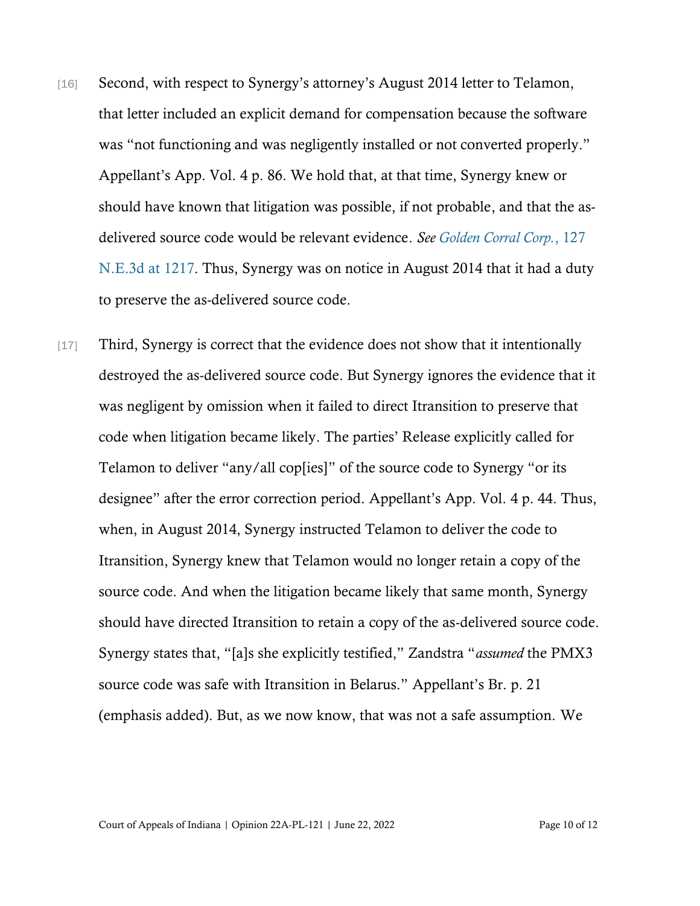- [16] Second, with respect to Synergy's attorney's August 2014 letter to Telamon, that letter included an explicit demand for compensation because the software was "not functioning and was negligently installed or not converted properly." Appellant's App. Vol. 4 p. 86. We hold that, at that time, Synergy knew or should have known that litigation was possible, if not probable, and that the asdelivered source code would be relevant evidence. *See [Golden Corral Corp.](https://www.westlaw.com/Document/I4cc9e00092c211e998e8870e22e55653/View/FullText.html?transitionType=Default&contextData=(sc.Default)&VR=3.0&RS=da3.0&fragmentIdentifier=co_pp_sp_7902_1217)*[, 127](https://www.westlaw.com/Document/I4cc9e00092c211e998e8870e22e55653/View/FullText.html?transitionType=Default&contextData=(sc.Default)&VR=3.0&RS=da3.0&fragmentIdentifier=co_pp_sp_7902_1217)  [N.E.3d](https://www.westlaw.com/Document/I4cc9e00092c211e998e8870e22e55653/View/FullText.html?transitionType=Default&contextData=(sc.Default)&VR=3.0&RS=da3.0&fragmentIdentifier=co_pp_sp_7902_1217) at 1217. Thus, Synergy was on notice in August 2014 that it had a duty to preserve the as-delivered source code.
- [17] Third, Synergy is correct that the evidence does not show that it intentionally destroyed the as-delivered source code. But Synergy ignores the evidence that it was negligent by omission when it failed to direct Itransition to preserve that code when litigation became likely. The parties' Release explicitly called for Telamon to deliver "any/all cop[ies]" of the source code to Synergy "or its designee" after the error correction period. Appellant's App. Vol. 4 p. 44. Thus, when, in August 2014, Synergy instructed Telamon to deliver the code to Itransition, Synergy knew that Telamon would no longer retain a copy of the source code. And when the litigation became likely that same month, Synergy should have directed Itransition to retain a copy of the as-delivered source code. Synergy states that, "[a]s she explicitly testified," Zandstra "*assumed* the PMX3 source code was safe with Itransition in Belarus." Appellant's Br. p. 21 (emphasis added). But, as we now know, that was not a safe assumption. We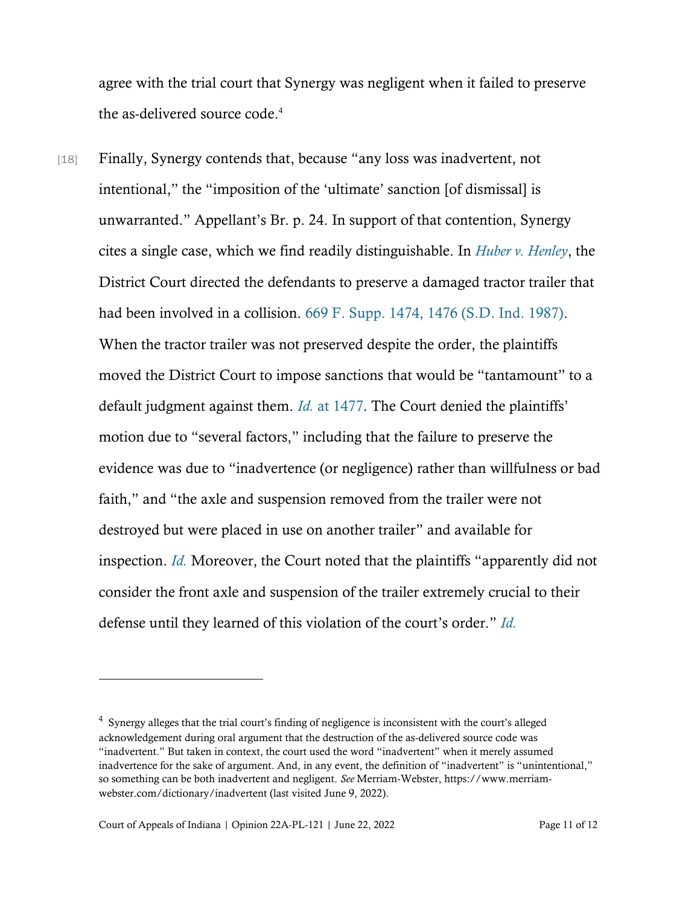agree with the trial court that Synergy was negligent when it failed to preserve the as-delivered source code.<sup>4</sup>

[18] Finally, Synergy contends that, because "any loss was inadvertent, not intentional," the "imposition of the 'ultimate' sanction [of dismissal] is unwarranted." Appellant's Br. p. 24. In support of that contention, Synergy cites a single case, which we find readily distinguishable. In *[Huber v. Henley](https://www.westlaw.com/Document/I935a9f43559811d9a99c85a9e6023ffa/View/FullText.html?transitionType=Default&contextData=(sc.Default)&VR=3.0&RS=cblt1.0)*, the District Court directed the defendants to preserve a damaged tractor trailer that had been involved in a collision. [669 F. Supp. 1474, 1476 \(S.D. Ind. 1987\).](https://www.westlaw.com/Document/I935a9f43559811d9a99c85a9e6023ffa/View/FullText.html?transitionType=Default&contextData=(sc.Default)&VR=3.0&RS=da3.0&fragmentIdentifier=co_pp_sp_345_1476) When the tractor trailer was not preserved despite the order, the plaintiffs moved the District Court to impose sanctions that would be "tantamount" to a default judgment against them. *[Id.](https://www.westlaw.com/Document/I935a9f43559811d9a99c85a9e6023ffa/View/FullText.html?transitionType=Default&contextData=(sc.Default)&VR=3.0&RS=da3.0&fragmentIdentifier=co_pp_sp_345_1477)* [at 1477.](https://www.westlaw.com/Document/I935a9f43559811d9a99c85a9e6023ffa/View/FullText.html?transitionType=Default&contextData=(sc.Default)&VR=3.0&RS=da3.0&fragmentIdentifier=co_pp_sp_345_1477) The Court denied the plaintiffs' motion due to "several factors," including that the failure to preserve the evidence was due to "inadvertence (or negligence) rather than willfulness or bad faith," and "the axle and suspension removed from the trailer were not destroyed but were placed in use on another trailer" and available for inspection. *[Id.](https://www.westlaw.com/Document/I935a9f43559811d9a99c85a9e6023ffa/View/FullText.html?transitionType=Default&contextData=(sc.Default)&VR=3.0&RS=da3.0)* Moreover, the Court noted that the plaintiffs "apparently did not consider the front axle and suspension of the trailer extremely crucial to their defense until they learned of this violation of the court's order." *[Id.](https://www.westlaw.com/Document/I935a9f43559811d9a99c85a9e6023ffa/View/FullText.html?transitionType=Default&contextData=(sc.Default)&VR=3.0&RS=da3.0)*

<sup>&</sup>lt;sup>4</sup> Synergy alleges that the trial court's finding of negligence is inconsistent with the court's alleged acknowledgement during oral argument that the destruction of the as-delivered source code was "inadvertent." But taken in context, the court used the word "inadvertent" when it merely assumed inadvertence for the sake of argument. And, in any event, the definition of "inadvertent" is "unintentional," so something can be both inadvertent and negligent. *See* Merriam-Webster, https://www.merriamwebster.com/dictionary/inadvertent (last visited June 9, 2022).